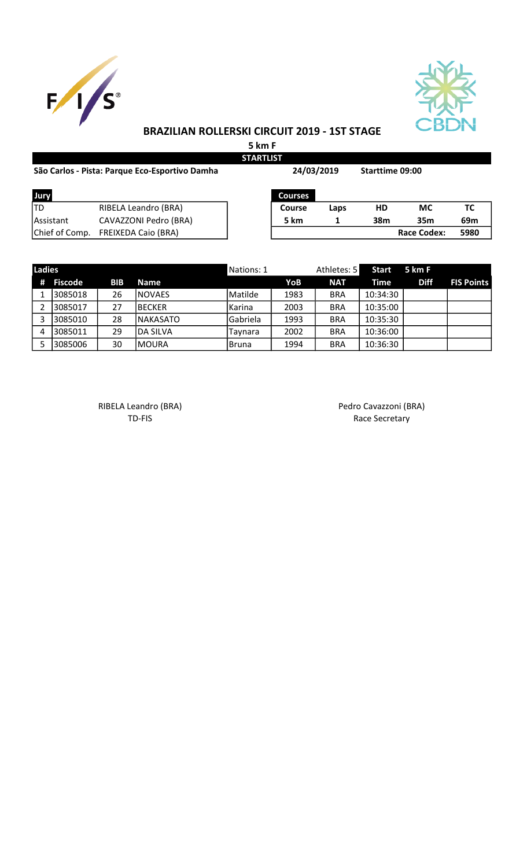



## BRAZILIAN ROLLERSKI CIRCUIT 2019 - 1ST STAGE

5 km F **STARTLIST** 

| São Carlos - Pista: Parque Eco-Esportivo Damha | 24/03/2019                 |                | <b>Starttime 09:00</b> |     |                    |      |
|------------------------------------------------|----------------------------|----------------|------------------------|-----|--------------------|------|
| Jury                                           |                            | <b>Courses</b> |                        |     |                    |      |
| ITD                                            | RIBELA Leandro (BRA)       | <b>Course</b>  | Laps                   | HD  | <b>MC</b>          | ТC   |
| <b>IAssistant</b>                              | CAVAZZONI Pedro (BRA)      | 5 km           |                        | 38m | 35 <sub>m</sub>    | 69m  |
| Chief of Comp.                                 | <b>FREIXEDA Caio (BRA)</b> |                |                        |     | <b>Race Codex:</b> | 5980 |

| <b>Ladies</b> |           |            |                  | Nations: 1 |      | Athletes: 5 | Start    | 5 km F      |                   |
|---------------|-----------|------------|------------------|------------|------|-------------|----------|-------------|-------------------|
|               | # Fiscode | <b>BIB</b> | <b>Name</b>      |            | YoB  | <b>NAT</b>  | Time     | <b>Diff</b> | <b>FIS Points</b> |
|               | 3085018   | 26         | <b>INOVAES</b>   | Matilde    | 1983 | <b>BRA</b>  | 10:34:30 |             |                   |
|               | 3085017   | 27         | IBECKER          | Karina     | 2003 | <b>BRA</b>  | 10:35:00 |             |                   |
|               | 3085010   | 28         | <b>INAKASATO</b> | Gabriela   | 1993 | <b>BRA</b>  | 10:35:30 |             |                   |
| 4             | 3085011   | 29         | IDA SILVA        | Taynara    | 2002 | <b>BRA</b>  | 10:36:00 |             |                   |
|               | 3085006   | 30         | IMOURA           | l Bruna    | 1994 | <b>BRA</b>  | 10:36:30 |             |                   |

RIBELA Leandro (BRA) <br>TD-FIS Race Secretary

Race Secretary